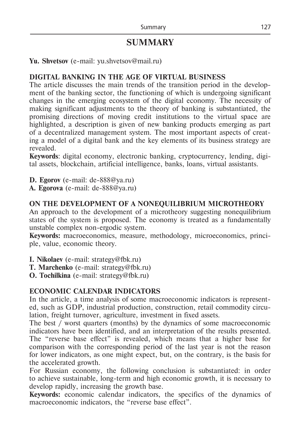# **SUMMARY**

**Yu. Shvetsov** (е-mail: yu.shvetsov@mail.ru)

#### **DIGITAL BANKING IN THE AGE OF VIRTUAL BUSINESS**

The article discusses the main trends of the transition period in the development of the banking sector, the functioning of which is undergoing significant changes in the emerging ecosystem of the digital economy. The necessity of making significant adjustments to the theory of banking is substantiated, the promising directions of moving credit institutions to the virtual space are highlighted, a description is given of new banking products emerging as part of a decentralized management system. The most important aspects of creating a model of a digital bank and the key elements of its business strategy are revealed.

**Keywords**: digital economy, electronic banking, cryptocurrency, lending, digital assets, blockchain, artificial intelligence, banks, loans, virtual assistants.

**D. Еgorov** (e-mail: de-888@ya.ru)

**A. Еgorova** (e-mail: de-888@ya.ru)

### **ON THE DEVELOPMENT OF A NONEQUILIBRIUM MICROTHEORY**

An approach to the development of a microtheory suggesting nonequilibrium states of the system is proposed. The economy is treated as a fundamentally unstable complex non-ergodic system.

**Keywords:** macroeconomics, measure, methodology, microeconomics, principle, value, economic theory.

**I. Nikolaev** (e-mail: strategy@fbk.ru)

**T. Marchenko** (e-mail: strategy@fbk.ru)

**O. Tochilkina** (e-mail: strategy@fbk.ru)

#### **ECONOMIC CALENDAR INDICATORS**

In the article, a time analysis of some macroeconomic indicators is represented, such as GDP, industrial production, construction, retail commodity circulation, freight turnover, agriculture, investment in fixed assets.

The best / worst quarters (months) by the dynamics of some macroeconomic indicators have been identified, and an interpretation of the results presented. The "reverse base effect" is revealed, which means that a higher base for comparison with the corresponding period of the last year is not the reason for lower indicators, as one might expect, but, on the contrary, is the basis for the accelerated growth.

For Russian economy, the following conclusion is substantiated: in order to achieve sustainable, long-term and high economic growth, it is necessary to develop rapidly, increasing the growth base.

**Keywords:** economic calendar indicators, the specifics of the dynamics of macroeconomic indicators, the "reverse base effect".